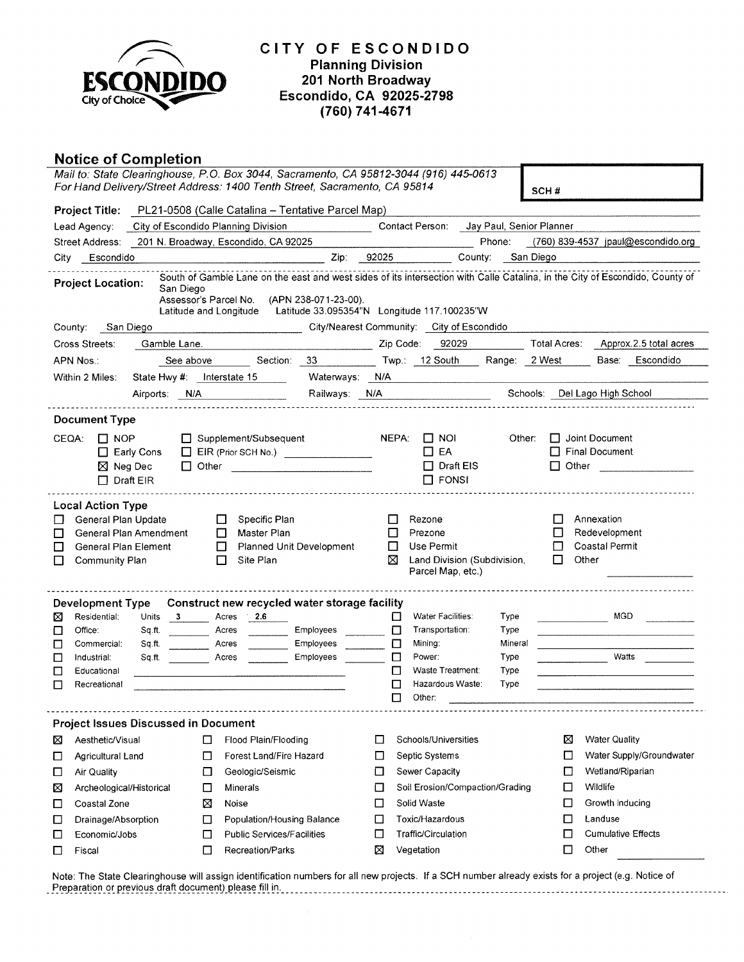

# **Notice of Completion**

|                                                                                                                                                                                                                                 | Mail to: State Clearinghouse, P.O. Box 3044, Sacramento, CA 95812-3044 (916) 445-0613<br>For Hand Delivery/Street Address: 1400 Tenth Street, Sacramento, CA 95814 |                                                                                                                                                                                                                                | SCH#                                                                                                                              |
|---------------------------------------------------------------------------------------------------------------------------------------------------------------------------------------------------------------------------------|--------------------------------------------------------------------------------------------------------------------------------------------------------------------|--------------------------------------------------------------------------------------------------------------------------------------------------------------------------------------------------------------------------------|-----------------------------------------------------------------------------------------------------------------------------------|
|                                                                                                                                                                                                                                 | Project Title: PL21-0508 (Calle Catalina - Tentative Parcel Map)                                                                                                   |                                                                                                                                                                                                                                |                                                                                                                                   |
| Lead Agency:                                                                                                                                                                                                                    | City of Escondido Planning Division                                                                                                                                | Contact Person: Jay Paul, Senior Planner                                                                                                                                                                                       |                                                                                                                                   |
| Street Address: 201 N. Broadway, Escondido, CA 92025                                                                                                                                                                            |                                                                                                                                                                    |                                                                                                                                                                                                                                | Phone: $(760)$ 839-4537 ipaul@escondido.org                                                                                       |
| City Escondido                                                                                                                                                                                                                  |                                                                                                                                                                    | Zip: 92025<br>County: San Diego                                                                                                                                                                                                |                                                                                                                                   |
| <b>Project Location:</b><br>San Diego                                                                                                                                                                                           | Assessor's Parcel No. (APN 238-071-23-00).<br>Latitude and Longitude                                                                                               | South of Gamble Lane on the east and west sides of its intersection with Calle Catalina, in the City of Escondido, County of<br>Latitude 33.095354"N Longitude 117.100235"W                                                    |                                                                                                                                   |
| San Diego<br>County:                                                                                                                                                                                                            |                                                                                                                                                                    | City/Nearest Community: City of Escondido                                                                                                                                                                                      |                                                                                                                                   |
| Cross Streets:<br>Gamble Lane.                                                                                                                                                                                                  |                                                                                                                                                                    | Zip Code: 92029                                                                                                                                                                                                                | Total Acres: Approx.2.5 total acres                                                                                               |
| APN Nos∴                                                                                                                                                                                                                        | Section: 33<br>See above <b>that</b>                                                                                                                               | Twp.: 12 South<br>Range: 2 West                                                                                                                                                                                                | Base: Escondido                                                                                                                   |
| Within 2 Miles:                                                                                                                                                                                                                 | State Hwy #: Interstate 15                                                                                                                                         | Waterways: N/A<br>the company of the company of the company of                                                                                                                                                                 |                                                                                                                                   |
|                                                                                                                                                                                                                                 | Airports: N/A                                                                                                                                                      | Railways: N/A Providence of the Control of the Control of the Control of the Control of the Control of the Control of the Control of the Control of the Control of the Control of the Control of the Control of the Control of | Schools: Del Lago High School                                                                                                     |
|                                                                                                                                                                                                                                 |                                                                                                                                                                    |                                                                                                                                                                                                                                |                                                                                                                                   |
| <b>Document Type</b><br>CEOA:<br>$\Box$ NOP<br>$\Box$ Early Cons<br>$\boxtimes$ Neg Dec<br>$\Box$ Draft EIR                                                                                                                     | □ Supplement/Subsequent<br>EIR (Prior SCH No.)<br>□ Other <u>__________________________</u>                                                                        | NEPA:<br>$\Box$ Noi<br>Other:<br>$\Box$ EA<br>$\Box$ Draft EIS<br>$\Box$ FONSI                                                                                                                                                 | $\Box$ Joint Document<br>$\Box$ Final Document                                                                                    |
| <b>Local Action Type</b><br>General Plan Update<br>General Plan Amendment<br>ப<br>General Plan Element<br>ΙI<br>Community Plan<br>П                                                                                             | Specific Plan<br>□<br>$\Box$<br>Master Plan<br>$\Box$<br>Planned Unit Development<br>Site Plan<br>$\Box$                                                           | Rezone<br>$\Box$<br>□<br>Prezone<br>Use Permit<br>$\Box$<br>⊠<br>Land Division (Subdivision,<br>Parcel Map, etc.)                                                                                                              | Annexation<br>ப<br>Redevelopment<br>□<br>Coastal Permit<br>П<br>П<br>Other                                                        |
| Development Type<br>Residential:<br>$\overline{\phantom{a}}$ 3<br>⊠<br>Units<br>Office:<br>Sq.ft.<br>$\Box$<br>$\Box$<br>Commercial:<br>Sq.ft.<br>Sq.ft.<br>$\Box$<br>Industrial:<br>Educational<br>$\Box$<br>Recreational<br>П | Construct new recycled water storage facility<br>2.6<br>Acres<br>Employees<br>Acres<br>Employees<br>Acres<br>Employees<br>Acres                                    | Water Facilities:<br>□<br>Type<br>□<br>Transportation:<br>Type<br>□<br>Mining:<br>Mineral<br>□<br>Power:<br>Type<br>Waste Treatment:<br>Type<br>П<br>Hazardous Waste:<br>□<br>Type<br>П<br>Other:                              | MGD.<br>Watts                                                                                                                     |
| <b>Project Issues Discussed in Document</b><br>Aesthetic/Visual<br>⊠<br>Agricultural Land<br>□<br>Air Quality<br>□<br>Archeological/Historical<br>⊠<br>Coastal Zone<br>□                                                        | Flood Plain/Flooding<br>□<br>Forest Land/Fire Hazard<br>□<br>□<br>Geologic/Seismic<br>Minerals<br>□<br>⊠<br>Noise                                                  | Schools/Universities<br>П<br>Septic Systems<br>$\Box$<br>Sewer Capacity<br>□<br>Soil Erosion/Compaction/Grading<br>□<br>Solid Waste<br>$\Box$                                                                                  | <b>Water Quality</b><br>⊠<br>Water Supply/Groundwater<br>⊔<br>Wetland/Riparian<br>□<br>Wildlife<br>□<br>Growth Inducing<br>$\Box$ |
| Drainage/Absorption<br>ப<br>Economic/Jobs<br>□<br>Fiscal<br>ப                                                                                                                                                                   | Population/Housing Balance<br>□<br>Public Services/Facilities<br>□<br>Recreation/Parks<br>$\Box$                                                                   | Toxic/Hazardous<br>$\Box$<br>Traffic/Circulation<br>$\Box$<br>⊠<br>Vegetation                                                                                                                                                  | □<br>Landuse<br><b>Cumulative Effects</b><br>□<br>□<br>Other                                                                      |

Note: The State Clearinghouse will assign identification numbers for all new projects. If a SCH number already exists for a project (e.g. Notice of<br>Preparation or previous draft document) please fill in. \_\_\_\_\_\_\_\_\_\_\_\_\_\_\_\_\_\_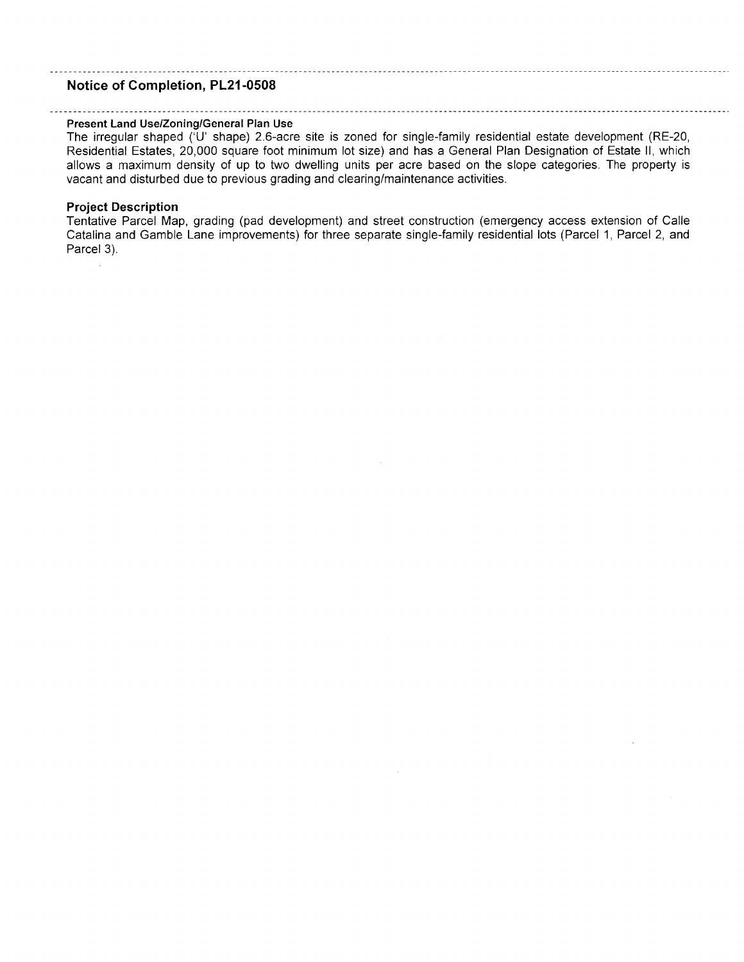### **Notice of Completion, PL21-0508**

#### **Present Land Use/Zoning/General Plan Use**

The irregular shaped ('U' shape) 2.6-acre site is zoned for single-family residential estate development (RE-20, Residential Estates, 20,000 square foot minimum lot size) and has a General Plan Designation of Estate II, which allows a maximum density of up to two dwelling units per acre based on the slope categories. The property is vacant and disturbed due to previous grading and clearing/maintenance activities.

1000 - San Antonio Alemania (1980)

### **Project Description**

Tentative Parcel Map, grading (pad development) and street construction (emergency access extension of Calle Catalina and Gamble Lane improvements) for three separate single-family residential lots (Parcel 1, Parcel 2, and Parcel 3).